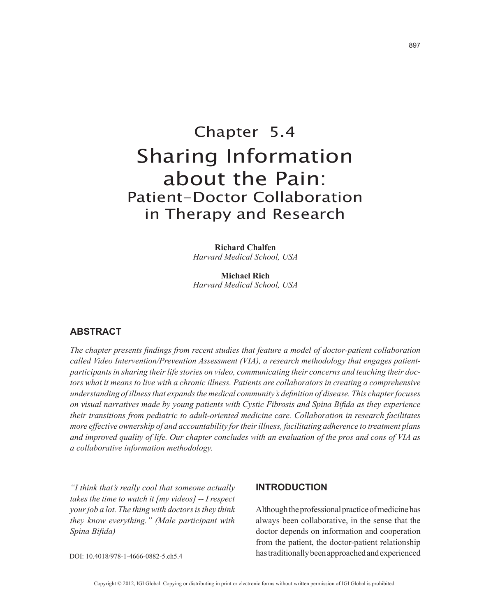# Chapter 5.4 Sharing Information about the Pain: Patient-Doctor Collaboration in Therapy and Research

**Richard Chalfen** *Harvard Medical School, USA*

**Michael Rich** *Harvard Medical School, USA*

## **ABSTRACT**

*The chapter presents findings from recent studies that feature a model of doctor-patient collaboration called Video Intervention/Prevention Assessment (VIA), a research methodology that engages patientparticipants in sharing their life stories on video, communicating their concerns and teaching their doctors what it means to live with a chronic illness. Patients are collaborators in creating a comprehensive understanding of illness that expands the medical community's definition of disease. This chapter focuses on visual narratives made by young patients with Cystic Fibrosis and Spina Bifida as they experience their transitions from pediatric to adult-oriented medicine care. Collaboration in research facilitates more effective ownership of and accountability for their illness, facilitating adherence to treatment plans and improved quality of life. Our chapter concludes with an evaluation of the pros and cons of VIA as a collaborative information methodology.*

*"I think that's really cool that someone actually takes the time to watch it [my videos] -- I respect your job a lot. The thing with doctors is they think they know everything." (Male participant with Spina Bifida)* 

#### **INTRODUCTION**

Although the professional practice of medicine has always been collaborative, in the sense that the doctor depends on information and cooperation from the patient, the doctor-patient relationship has traditionally been approached and experienced

DOI: 10.4018/978-1-4666-0882-5.ch5.4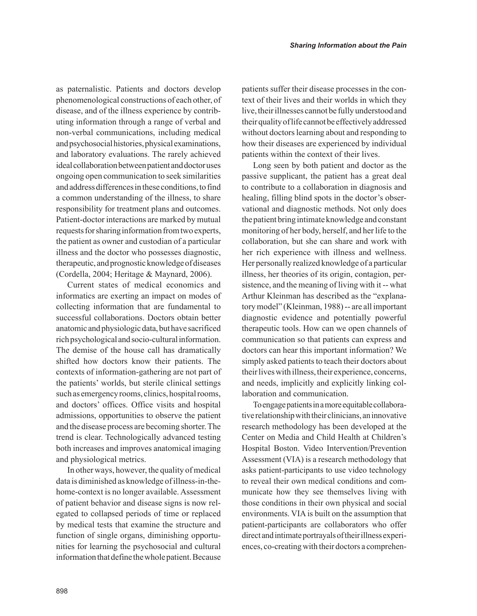as paternalistic. Patients and doctors develop phenomenological constructions of each other, of disease, and of the illness experience by contributing information through a range of verbal and non-verbal communications, including medical and psychosocial histories, physical examinations, and laboratory evaluations. The rarely achieved ideal collaboration between patient and doctor uses ongoing open communication to seek similarities and address differences in these conditions, to find a common understanding of the illness, to share responsibility for treatment plans and outcomes. Patient-doctor interactions are marked by mutual requests for sharing information from two experts, the patient as owner and custodian of a particular illness and the doctor who possesses diagnostic, therapeutic, and prognostic knowledge of diseases (Cordella, 2004; Heritage & Maynard, 2006).

Current states of medical economics and informatics are exerting an impact on modes of collecting information that are fundamental to successful collaborations. Doctors obtain better anatomic and physiologic data, but have sacrificed rich psychological and socio-cultural information. The demise of the house call has dramatically shifted how doctors know their patients. The contexts of information-gathering are not part of the patients' worlds, but sterile clinical settings such as emergency rooms, clinics, hospital rooms, and doctors' offices. Office visits and hospital admissions, opportunities to observe the patient and the disease process are becoming shorter. The trend is clear. Technologically advanced testing both increases and improves anatomical imaging and physiological metrics.

In other ways, however, the quality of medical data is diminished as knowledge of illness-in-thehome-context is no longer available. Assessment of patient behavior and disease signs is now relegated to collapsed periods of time or replaced by medical tests that examine the structure and function of single organs, diminishing opportunities for learning the psychosocial and cultural information that define the whole patient. Because patients suffer their disease processes in the context of their lives and their worlds in which they live, their illnesses cannot be fully understood and their quality of life cannot be effectively addressed without doctors learning about and responding to how their diseases are experienced by individual patients within the context of their lives.

Long seen by both patient and doctor as the passive supplicant, the patient has a great deal to contribute to a collaboration in diagnosis and healing, filling blind spots in the doctor's observational and diagnostic methods. Not only does the patient bring intimate knowledge and constant monitoring of her body, herself, and her life to the collaboration, but she can share and work with her rich experience with illness and wellness. Her personally realized knowledge of a particular illness, her theories of its origin, contagion, persistence, and the meaning of living with it -- what Arthur Kleinman has described as the "explanatory model" (Kleinman, 1988) -- are all important diagnostic evidence and potentially powerful therapeutic tools. How can we open channels of communication so that patients can express and doctors can hear this important information? We simply asked patients to teach their doctors about their lives with illness, their experience, concerns, and needs, implicitly and explicitly linking collaboration and communication.

To engage patients in a more equitable collaborative relationship with their clinicians, an innovative research methodology has been developed at the Center on Media and Child Health at Children's Hospital Boston. Video Intervention/Prevention Assessment (VIA) is a research methodology that asks patient-participants to use video technology to reveal their own medical conditions and communicate how they see themselves living with those conditions in their own physical and social environments. VIA is built on the assumption that patient-participants are collaborators who offer direct and intimate portrayals of their illness experiences, co-creating with their doctors a comprehen